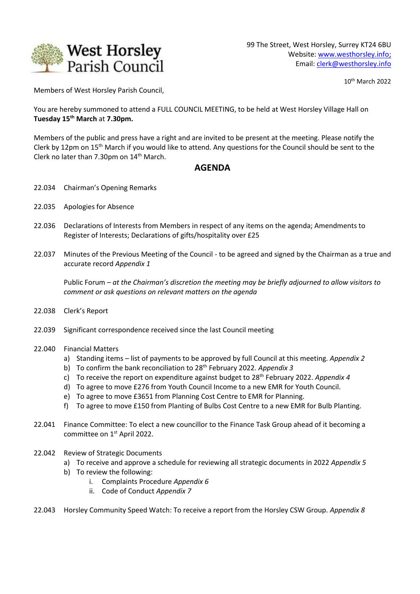

10 th March 2022

Members of West Horsley Parish Council,

You are hereby summoned to attend a FULL COUNCIL MEETING, to be held at West Horsley Village Hall on **Tuesday 15th March** at **7.30pm.**

Members of the public and press have a right and are invited to be present at the meeting. Please notify the Clerk by 12pm on 15<sup>th</sup> March if you would like to attend. Any questions for the Council should be sent to the Clerk no later than 7.30pm on  $14<sup>th</sup>$  March.

## **AGENDA**

- 22.034 Chairman's Opening Remarks
- 22.035 Apologies for Absence
- 22.036 Declarations of Interests from Members in respect of any items on the agenda; Amendments to Register of Interests; Declarations of gifts/hospitality over £25
- 22.037 Minutes of the Previous Meeting of the Council *-* to be agreed and signed by the Chairman as a true and accurate record *Appendix 1*

Public Forum *– at the Chairman's discretion the meeting may be briefly adjourned to allow visitors to comment or ask questions on relevant matters on the agenda*

- 22.038 Clerk's Report
- 22.039 Significant correspondence received since the last Council meeting
- 22.040 Financial Matters
	- a) Standing items list of payments to be approved by full Council at this meeting. *Appendix 2*
	- b) To confirm the bank reconciliation to 28th February 2022. *Appendix 3*
	- c) To receive the report on expenditure against budget to 28th February 2022. *Appendix 4*
	- d) To agree to move £276 from Youth Council Income to a new EMR for Youth Council.
	- e) To agree to move £3651 from Planning Cost Centre to EMR for Planning.
	- f) To agree to move £150 from Planting of Bulbs Cost Centre to a new EMR for Bulb Planting.
- 22.041 Finance Committee: To elect a new councillor to the Finance Task Group ahead of it becoming a committee on 1<sup>st</sup> April 2022.
- 22.042 Review of Strategic Documents
	- a) To receive and approve a schedule for reviewing all strategic documents in 2022 *Appendix 5*
	- b) To review the following:
		- i. Complaints Procedure *Appendix 6*
		- ii. Code of Conduct *Appendix 7*
- 22.043 Horsley Community Speed Watch: To receive a report from the Horsley CSW Group. *Appendix 8*